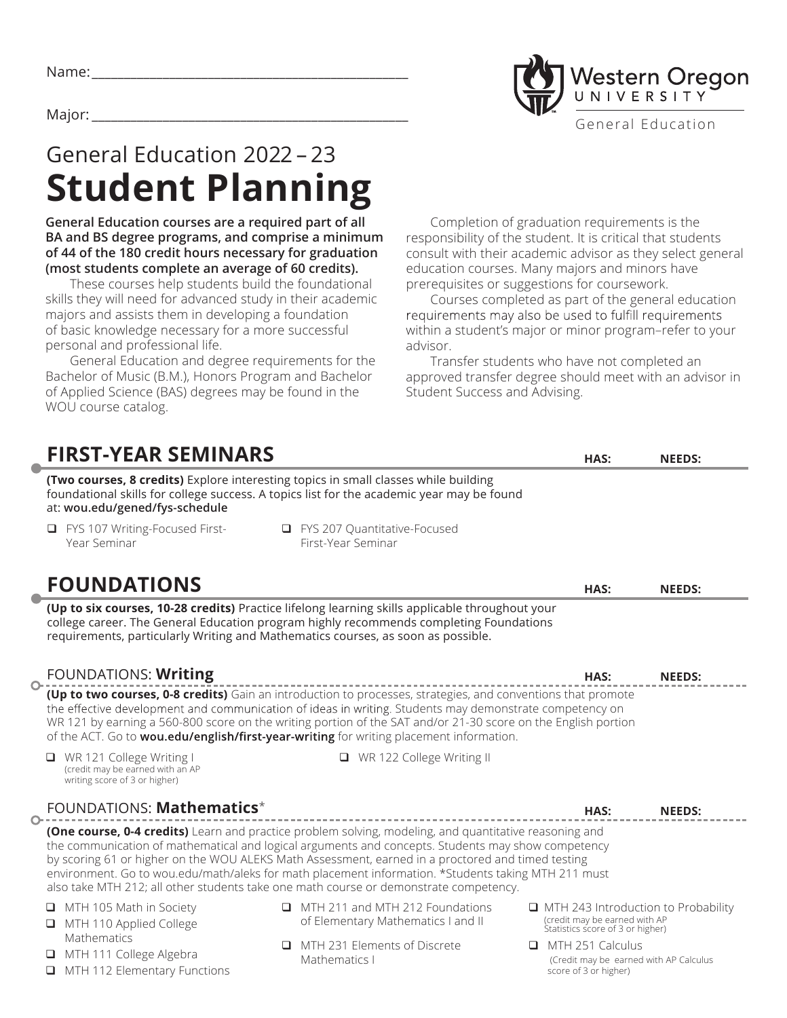## Vestern Oregon UNIVERSITY Major: \_\_\_\_\_\_\_\_\_\_\_\_\_\_\_\_\_\_\_\_\_\_\_\_\_\_\_\_\_\_\_\_\_\_\_\_\_\_\_\_\_\_\_\_\_\_\_\_\_ General Education

# General Education 2022 – 23 **Student Planning**

**General Education courses are a required part of all BA and BS degree programs, and comprise a minimum of 44 of the 180 credit hours necessary for graduation (most students complete an average of 60 credits).** 

These courses help students build the foundational skills they will need for advanced study in their academic majors and assists them in developing a foundation of basic knowledge necessary for a more successful personal and professional life.

General Education and degree requirements for the Bachelor of Music (B.M.), Honors Program and Bachelor of Applied Science (BAS) degrees may be found in the WOU course catalog.

Completion of graduation requirements is the responsibility of the student. It is critical that students consult with their academic advisor as they select general education courses. Many majors and minors have prerequisites or suggestions for coursework.

Courses completed as part of the general education requirements may also be used to fulfill requirements within a student's major or minor program–refer to your advisor.

Transfer students who have not completed an approved transfer degree should meet with an advisor in Student Success and Advising.

| <b>FIRST-YEAR SEMINARS</b>                                                                                                                                                                                                                                                                                                                                                                                                                                                                                        | HAS:                                                                                       | <b>NEEDS:</b>                              |  |  |  |  |  |  |
|-------------------------------------------------------------------------------------------------------------------------------------------------------------------------------------------------------------------------------------------------------------------------------------------------------------------------------------------------------------------------------------------------------------------------------------------------------------------------------------------------------------------|--------------------------------------------------------------------------------------------|--------------------------------------------|--|--|--|--|--|--|
| (Two courses, 8 credits) Explore interesting topics in small classes while building<br>foundational skills for college success. A topics list for the academic year may be found<br>at: wou.edu/gened/fys-schedule                                                                                                                                                                                                                                                                                                |                                                                                            |                                            |  |  |  |  |  |  |
| □ FYS 207 Quantitative-Focused<br>FYS 107 Writing-Focused First-<br>Q.<br>First-Year Seminar<br>Year Seminar                                                                                                                                                                                                                                                                                                                                                                                                      |                                                                                            |                                            |  |  |  |  |  |  |
| <b>FOUNDATIONS</b>                                                                                                                                                                                                                                                                                                                                                                                                                                                                                                | HAS:                                                                                       | <b>NEEDS:</b>                              |  |  |  |  |  |  |
| (Up to six courses, 10-28 credits) Practice lifelong learning skills applicable throughout your<br>college career. The General Education program highly recommends completing Foundations<br>requirements, particularly Writing and Mathematics courses, as soon as possible.                                                                                                                                                                                                                                     |                                                                                            |                                            |  |  |  |  |  |  |
| FOUNDATIONS: Writing<br>$\circ$                                                                                                                                                                                                                                                                                                                                                                                                                                                                                   | HAS:                                                                                       | <b>NEEDS:</b>                              |  |  |  |  |  |  |
| (Up to two courses, 0-8 credits) Gain an introduction to processes, strategies, and conventions that promote<br>the effective development and communication of ideas in writing. Students may demonstrate competency on<br>WR 121 by earning a 560-800 score on the writing portion of the SAT and/or 21-30 score on the English portion<br>of the ACT. Go to wou.edu/english/first-year-writing for writing placement information.                                                                               |                                                                                            |                                            |  |  |  |  |  |  |
| □ WR 121 College Writing I<br>□ WR 122 College Writing II<br>(credit may be earned with an AP<br>writing score of 3 or higher)                                                                                                                                                                                                                                                                                                                                                                                    |                                                                                            |                                            |  |  |  |  |  |  |
| FOUNDATIONS: Mathematics*                                                                                                                                                                                                                                                                                                                                                                                                                                                                                         | HAS:                                                                                       | <b>NEEDS:</b>                              |  |  |  |  |  |  |
| (One course, 0-4 credits) Learn and practice problem solving, modeling, and quantitative reasoning and<br>the communication of mathematical and logical arguments and concepts. Students may show competency<br>by scoring 61 or higher on the WOU ALEKS Math Assessment, earned in a proctored and timed testing<br>environment. Go to wou.edu/math/aleks for math placement information. *Students taking MTH 211 must<br>also take MTH 212; all other students take one math course or demonstrate competency. |                                                                                            |                                            |  |  |  |  |  |  |
| IMTH 211 and MTH 212 Foundations<br>$\Box$ MTH 105 Math in Society<br>of Elementary Mathematics I and II<br>MTH 110 Applied College                                                                                                                                                                                                                                                                                                                                                                               | (credit may be earned with AP<br>Statistics score of 3 or higher)                          | $\Box$ MTH 243 Introduction to Probability |  |  |  |  |  |  |
| Mathematics<br>MTH 231 Elements of Discrete<br>□<br>MTH 111 College Algebra<br>Mathematics I<br>MTH 112 Elementary Functions                                                                                                                                                                                                                                                                                                                                                                                      | $\Box$ MTH 251 Calculus<br>(Credit may be earned with AP Calculus<br>score of 3 or higher) |                                            |  |  |  |  |  |  |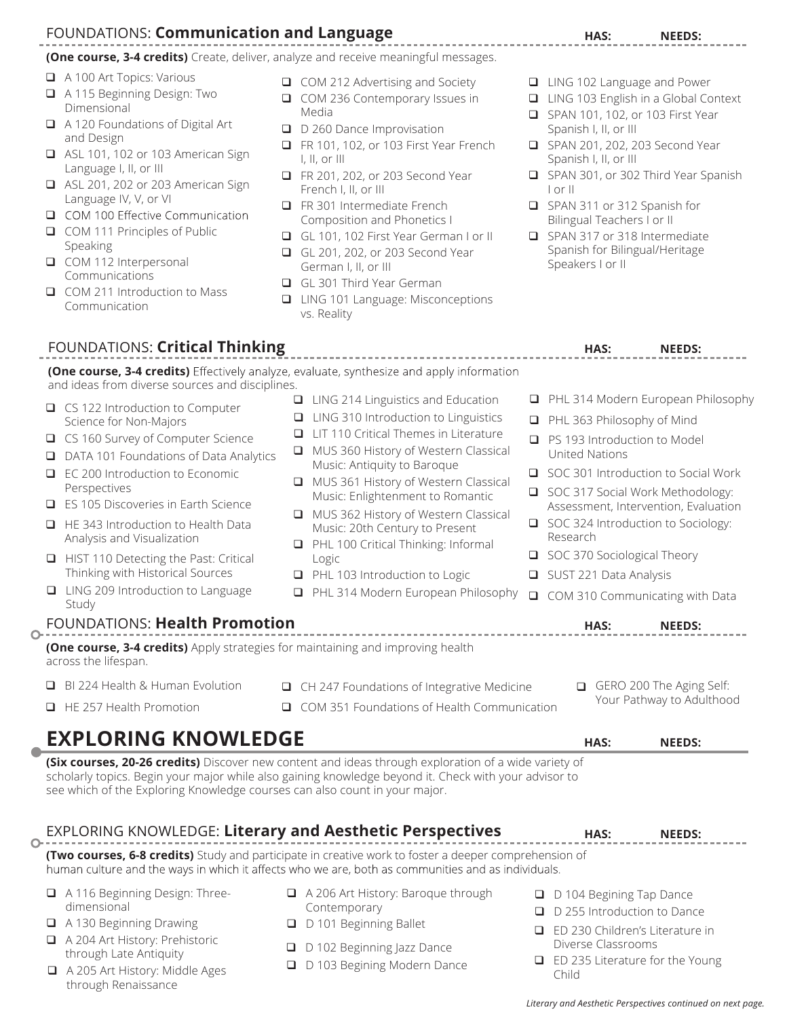## FOUNDATIONS: **Communication and Language**

**(One course, 3-4 credits)** Create, deliver, analyze and receive meaningful messages.

- A 100 Art Topics: Various
- A 115 Beginning Design: Two Dimensional
- A 120 Foundations of Digital Art and Design
- ASL 101, 102 or 103 American Sign Language I, II, or III
- ASL 201, 202 or 203 American Sign Language IV, V, or VI
- COM 100 Effective Communication
- COM 111 Principles of Public Speaking
- COM 112 Interpersonal Communications
- □ COM 211 Introduction to Mass Communication
- COM 212 Advertising and Society
- COM 236 Contemporary Issues in Media
- D 260 Dance Improvisation
- FR 101, 102, or 103 First Year French I, II, or III
- FR 201, 202, or 203 Second Year French I, II, or III
- FR 301 Intermediate French Composition and Phonetics I
- GL 101, 102 First Year German I or II
- GL 201, 202, or 203 Second Year German I, II, or III
- GL 301 Third Year German
- □ LING 101 Language: Misconceptions vs. Reality

FOUNDATIONS: Critical Thinking **HAS:** The MEEDS: NEEDS:

- LING 102 Language and Power
- LING 103 English in a Global Context
- SPAN 101, 102, or 103 First Year Spanish I, II, or III
- SPAN 201, 202, 203 Second Year Spanish I, II, or III
- SPAN 301, or 302 Third Year Spanish I or II
- SPAN 311 or 312 Spanish for Bilingual Teachers I or II
- SPAN 317 or 318 Intermediate Spanish for Bilingual/Heritage Speakers I or II

|          | (One course, 3-4 credits) Effectively analyze, evaluate, synthesize and apply information<br>and ideas from diverse sources and disciplines.                                                                                                                                                                                                                                                                                               |             |                                                                                                                                                                                                                                                                                                                                                                                                                                                                                |        |                                                             |      |                                                                                                                                                                                                                                                                                                                                    |
|----------|--------------------------------------------------------------------------------------------------------------------------------------------------------------------------------------------------------------------------------------------------------------------------------------------------------------------------------------------------------------------------------------------------------------------------------------------|-------------|--------------------------------------------------------------------------------------------------------------------------------------------------------------------------------------------------------------------------------------------------------------------------------------------------------------------------------------------------------------------------------------------------------------------------------------------------------------------------------|--------|-------------------------------------------------------------|------|------------------------------------------------------------------------------------------------------------------------------------------------------------------------------------------------------------------------------------------------------------------------------------------------------------------------------------|
| □<br>□   | $\Box$ CS 122 Introduction to Computer<br>Science for Non-Majors<br>□ CS 160 Survey of Computer Science<br>DATA 101 Foundations of Data Analytics<br>EC 200 Introduction to Economic<br>Perspectives<br>ES 105 Discoveries in Earth Science<br>$\Box$ HE 343 Introduction to Health Data<br>Analysis and Visualization<br>HIST 110 Detecting the Past: Critical<br>Thinking with Historical Sources<br>□ LING 209 Introduction to Language | □<br>$\Box$ | $\Box$ LING 214 Linguistics and Education<br>LING 310 Introduction to Linguistics<br>LIT 110 Critical Themes in Literature<br>MUS 360 History of Western Classical<br>Music: Antiquity to Baroque<br>MUS 361 History of Western Classical<br>Music: Enlightenment to Romantic<br>MUS 362 History of Western Classical<br>Music: 20th Century to Present<br>PHL 100 Critical Thinking: Informal<br>Logic<br>PHL 103 Introduction to Logic<br>PHL 314 Modern European Philosophy | $\Box$ | <b>United Nations</b><br>Research<br>SUST 221 Data Analysis |      | PHL 314 Modern European Philosophy<br>PHL 363 Philosophy of Mind<br>$\Box$ PS 193 Introduction to Model<br>SOC 301 Introduction to Social Work<br>SOC 317 Social Work Methodology:<br>Assessment, Intervention, Evaluation<br>SOC 324 Introduction to Sociology:<br>SOC 370 Sociological Theory<br>COM 310 Communicating with Data |
| $\Omega$ | Study<br>FOUNDATIONS: Health Promotion                                                                                                                                                                                                                                                                                                                                                                                                     |             |                                                                                                                                                                                                                                                                                                                                                                                                                                                                                |        |                                                             | HAS: | <b>NEEDS:</b>                                                                                                                                                                                                                                                                                                                      |
|          | (One course, 3-4 credits) Apply strategies for maintaining and improving health<br>across the lifespan.<br>BI 224 Health & Human Evolution<br>$\Box$ HE 257 Health Promotion                                                                                                                                                                                                                                                               | $\Box$      | CH 247 Foundations of Integrative Medicine<br>COM 351 Foundations of Health Communication                                                                                                                                                                                                                                                                                                                                                                                      |        |                                                             |      | GERO 200 The Aging Self:<br>Your Pathway to Adulthood                                                                                                                                                                                                                                                                              |
|          | <b>EXPLORING KNOWLEDGE</b><br>(Six courses, 20-26 credits) Discover new content and ideas through exploration of a wide variety of<br>scholarly topics. Begin your major while also gaining knowledge beyond it. Check with your advisor to<br>see which of the Exploring Knowledge courses can also count in your major.                                                                                                                  |             |                                                                                                                                                                                                                                                                                                                                                                                                                                                                                |        |                                                             | HAS: | <b>NEEDS:</b>                                                                                                                                                                                                                                                                                                                      |
|          | <b>EXPLORING KNOWLEDGE: Literary and Aesthetic Perspectives</b>                                                                                                                                                                                                                                                                                                                                                                            |             |                                                                                                                                                                                                                                                                                                                                                                                                                                                                                |        |                                                             | HAS: | <b>NEEDS:</b>                                                                                                                                                                                                                                                                                                                      |

| EXPLORING KNOWLEDGE: Literary and Aesthetic Perspectives         |                                                                                                                                                                                                             | <b>NEEDS:</b><br>HAS:                                          |  |  |
|------------------------------------------------------------------|-------------------------------------------------------------------------------------------------------------------------------------------------------------------------------------------------------------|----------------------------------------------------------------|--|--|
|                                                                  | (Two courses, 6-8 credits) Study and participate in creative work to foster a deeper comprehension of<br>human culture and the ways in which it affects who we are, both as communities and as individuals. |                                                                |  |  |
| A 116 Beginning Design: Three-<br>dimensional                    | A 206 Art History: Baroque through<br>Contemporary                                                                                                                                                          | $\Box$ D 104 Begining Tap Dance<br>D 255 Introduction to Dance |  |  |
| $\Box$ A 130 Beginning Drawing<br>A 204 Art History: Prehistoric | D 101 Beginning Ballet<br>$\Box$ D 102 Beginning Jazz Dance                                                                                                                                                 | ED 230 Children's Literature in<br>Diverse Classrooms          |  |  |
| through Late Antiquity                                           | $\Box$ ED 235 Literature for the Young<br>D. D. 103 Regining Modern Dance                                                                                                                                   |                                                                |  |  |

- A 205 Art History: Middle Ages through Renaissance
- D 103 Begining Modern Dance
- *Literary and Aesthetic Perspectives continued on next page.*

Child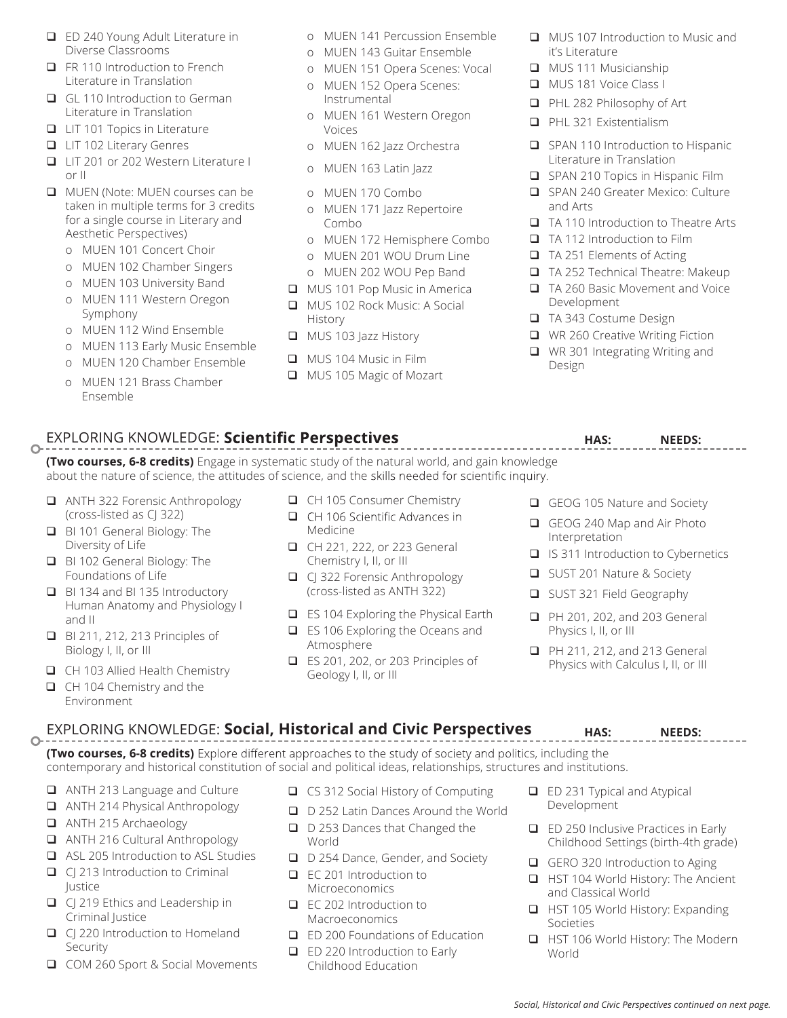- ED 240 Young Adult Literature in Diverse Classrooms
- FR 110 Introduction to French Literature in Translation
- GL 110 Introduction to German Literature in Translation
- **LIT 101 Topics in Literature**
- **LIT 102 Literary Genres**
- LIT 201 or 202 Western Literature I or II
- MUEN (Note: MUEN courses can be taken in multiple terms for 3 credits for a single course in Literary and Aesthetic Perspectives)
	- o MUEN 101 Concert Choir
	- o MUEN 102 Chamber Singers
	- o MUEN 103 University Band
	- o MUEN 111 Western Oregon Symphony
	- o MUEN 112 Wind Ensemble
	- o MUEN 113 Early Music Ensemble
	- o MUEN 120 Chamber Ensemble
	- o MUEN 121 Brass Chamber Ensemble
- o MUEN 141 Percussion Ensemble
- o MUEN 143 Guitar Ensemble
- o MUEN 151 Opera Scenes: Vocal
- o MUEN 152 Opera Scenes: Instrumental
- o MUEN 161 Western Oregon Voices
- o MUEN 162 Jazz Orchestra
- o MUEN 163 Latin Jazz
- o MUEN 170 Combo
- o MUEN 171 Jazz Repertoire Combo
- o MUEN 172 Hemisphere Combo
- o MUEN 201 WOU Drum Line
- o MUEN 202 WOU Pep Band
- **MUS 101 Pop Music in America**
- MUS 102 Rock Music: A Social History
- **NUS 103 Jazz History**
- **MUS 104 Music in Film**
- **MUS 105 Magic of Mozart**
- **NUS 107 Introduction to Music and** it's Literature
- **NUS 111 Musicianship**
- **MUS 181 Voice Class I**
- **PHL 282 Philosophy of Art**
- **PHL 321 Existentialism**
- SPAN 110 Introduction to Hispanic Literature in Translation
- SPAN 210 Topics in Hispanic Film
- SPAN 240 Greater Mexico: Culture and Arts
- □ TA 110 Introduction to Theatre Arts
- □ TA 112 Introduction to Film
- TA 251 Elements of Acting
- TA 252 Technical Theatre: Makeup
- TA 260 Basic Movement and Voice Development
- TA 343 Costume Design
- WR 260 Creative Writing Fiction
- WR 301 Integrating Writing and Design

#### EXPLORING KNOWLEDGE: Scientific Perspectives<br> **HAS:** MEEDS:  $\circ$

**(Two courses, 6-8 credits)** Engage in systematic study of the natural world, and gain knowledge about the nature of science, the attitudes of science, and the skills needed for scientific inquiry.

- ANTH 322 Forensic Anthropology (cross-listed as CJ 322)
- BI 101 General Biology: The Diversity of Life
- BI 102 General Biology: The Foundations of Life
- BI 134 and BI 135 Introductory Human Anatomy and Physiology I and II
- **BI 211, 212, 213 Principles of** Biology I, II, or III
- CH 103 Allied Health Chemistry
- CH 104 Chemistry and the Environment

### CH 105 Consumer Chemistry

- $\Box$ CH 106 Scientific Advances in Medicine
- CH 221, 222, or 223 General Chemistry I, II, or III
- C | 322 Forensic Anthropology (cross-listed as ANTH 322)
- □ ES 104 Exploring the Physical Earth
- ES 106 Exploring the Oceans and Atmosphere
- ES 201, 202, or 203 Principles of Geology I, II, or III
- GEOG 105 Nature and Society
- GEOG 240 Map and Air Photo Interpretation
- $\Box$  IS 311 Introduction to Cybernetics
- SUST 201 Nature & Society
- SUST 321 Field Geography
- **D** PH 201, 202, and 203 General Physics I, II, or III
- **D** PH 211, 212, and 213 General Physics with Calculus I, II, or III

#### EXPLORING KNOWLEDGE: **Social, Historical and Civic Perspectives**   $\circ$

**(Two courses, 6-8 credits)** Explore different approaches to the study of society and politics, including the contemporary and historical constitution of social and political ideas, relationships, structures and institutions.

- ANTH 213 Language and Culture
- ANTH 214 Physical Anthropology
- ANTH 215 Archaeology
- ANTH 216 Cultural Anthropology
- ASL 205 Introduction to ASL Studies
- $\Box$  CJ 213 Introduction to Criminal Justice
- C CJ 219 Ethics and Leadership in Criminal Justice
- CJ 220 Introduction to Homeland Security
- COM 260 Sport & Social Movements
- **□** CS 312 Social History of Computing
- D 252 Latin Dances Around the World
- D 253 Dances that Changed the World
- D 254 Dance, Gender, and Society
- EC 201 Introduction to Microeconomics
- EC 202 Introduction to Macroeconomics
- ED 200 Foundations of Education
- ED 220 Introduction to Early Childhood Education
- **ED 231 Typical and Atypical** Development
- ED 250 Inclusive Practices in Early Childhood Settings (birth-4th grade)

**HAS: NEEDS:**

- GERO 320 Introduction to Aging
- HST 104 World History: The Ancient and Classical World
- HST 105 World History: Expanding Societies
- HST 106 World History: The Modern World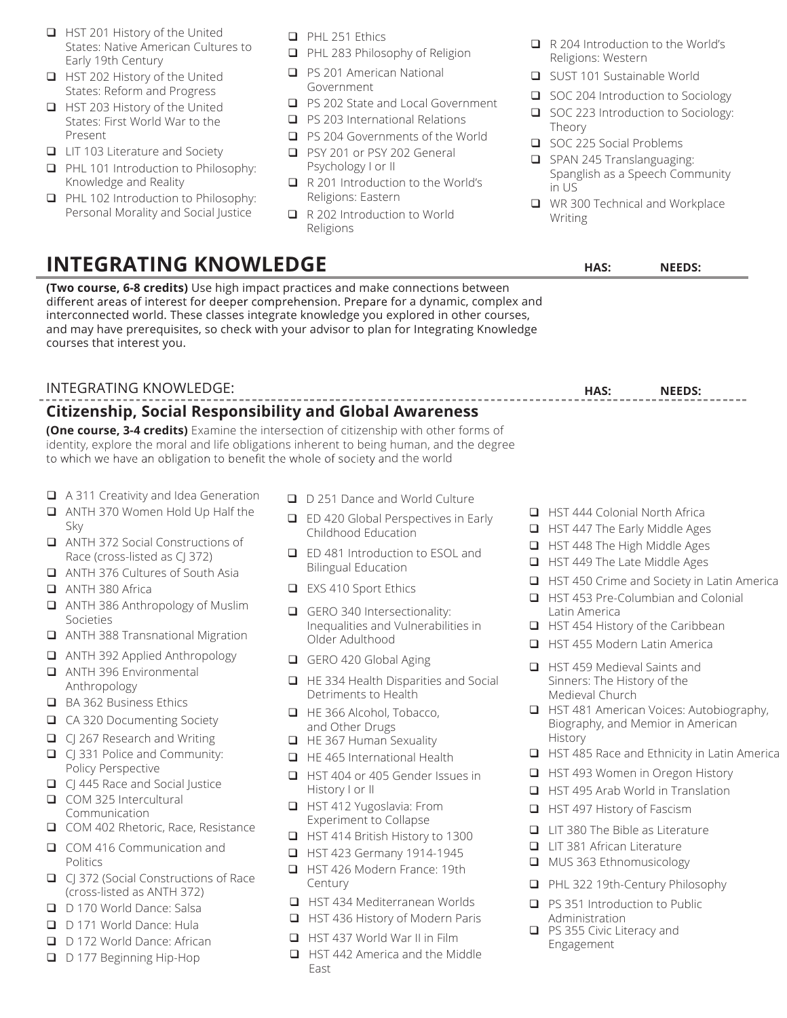- HST 201 History of the United States: Native American Cultures to Early 19th Century
- **HST 202 History of the United** States: Reform and Progress
- **HST 203 History of the United** States: First World War to the Present
- **□** LIT 103 Literature and Society
- **PHL 101 Introduction to Philosophy:** Knowledge and Reality
- **Q** PHL 102 Introduction to Philosophy: Personal Morality and Social Justice
- **PHL 251 Ethics**
- PHL 283 Philosophy of Religion
- **Q** PS 201 American National Government
- **PS 202 State and Local Government**
- □ PS 203 International Relations
- **PS 204 Governments of the World**
- **PSY 201 or PSY 202 General** Psychology I or II
- R 201 Introduction to the World's Religions: Eastern
- R 202 Introduction to World Religions
- R 204 Introduction to the World's Religions: Western
- SUST 101 Sustainable World
- SOC 204 Introduction to Sociology
- SOC 223 Introduction to Sociology: Theory
- SOC 225 Social Problems
- SPAN 245 Translanguaging: Spanglish as a Speech Community in US
- WR 300 Technical and Workplace Writing

## **INTEGRATING KNOWLEDGE**

**(Two course, 6-8 credits)** Use high impact practices and make connections between different areas of interest for deeper comprehension. Prepare for a dynamic, complex and interconnected world. These classes integrate knowledge you explored in other courses, and may have prerequisites, so check with your advisor to plan for Integrating Knowledge courses that interest you.

### INTEGRATING KNOWLEDGE:

## **Citizenship, Social Responsibility and Global Awareness**

**(One course, 3-4 credits)** Examine the intersection of citizenship with other forms of identity, explore the moral and life obligations inherent to being human, and the degree to which we have an obligation to benefit the whole of society and the world

- A 311 Creativity and Idea Generation
- ANTH 370 Women Hold Up Half the Sky
- ANTH 372 Social Constructions of Race (cross-listed as CJ 372)
- ANTH 376 Cultures of South Asia
- ANTH 380 Africa
- ANTH 386 Anthropology of Muslim Societies
- ANTH 388 Transnational Migration
- ANTH 392 Applied Anthropology
- ANTH 396 Environmental Anthropology
- BA 362 Business Ethics
- CA 320 Documenting Society
- □ CJ 267 Research and Writing
- C | 331 Police and Community: Policy Perspective
- CJ 445 Race and Social Justice
- COM 325 Intercultural Communication
- COM 402 Rhetoric, Race, Resistance
- COM 416 Communication and Politics
- CJ 372 (Social Constructions of Race (cross-listed as ANTH 372)
- D 170 World Dance: Salsa
- D 171 World Dance: Hula
- D 172 World Dance: African
- D 177 Beginning Hip-Hop
- D 251 Dance and World Culture
- □ ED 420 Global Perspectives in Early Childhood Education
- ED 481 Introduction to ESOL and Bilingual Education
- EXS 410 Sport Ethics
- GERO 340 Intersectionality: Inequalities and Vulnerabilities in Older Adulthood
- GERO 420 Global Aging
- HE 334 Health Disparities and Social Detriments to Health
- HE 366 Alcohol, Tobacco, and Other Drugs
- HE 367 Human Sexuality
- **HE 465 International Health**
- HST 404 or 405 Gender Issues in History I or II
- **HST 412 Yugoslavia: From** Experiment to Collapse
- HST 414 British History to 1300
- **HST 423 Germany 1914-1945**
- **HST 426 Modern France: 19th** Century
- HST 434 Mediterranean Worlds
- HST 436 History of Modern Paris
- **HST 437 World War II in Film**
- HST 442 America and the Middle East
- 
- **HST 444 Colonial North Africa HST 447 The Early Middle Ages**
- **HST 448 The High Middle Ages**
- **HST 449 The Late Middle Ages**
- 
- □ HST 450 Crime and Society in Latin America
- HST 453 Pre-Columbian and Colonial Latin America
- $\Box$  HST 454 History of the Caribbean
- HST 455 Modern Latin America
- HST 459 Medieval Saints and Sinners: The History of the Medieval Church
- **HST 481 American Voices: Autobiography,** Biography, and Memior in American History
- $\Box$  HST 485 Race and Ethnicity in Latin America
- HST 493 Women in Oregon History
- HST 495 Arab World in Translation
- HST 497 History of Fascism
- LIT 380 The Bible as Literature
- LIT 381 African Literature
- MUS 363 Ethnomusicology
- PHL 322 19th-Century Philosophy
- □ PS 351 Introduction to Public Administration
- **PS 355 Civic Literacy and** Engagement

- **HAS: NEEDS:**
- 

**HAS: NEEDS:**